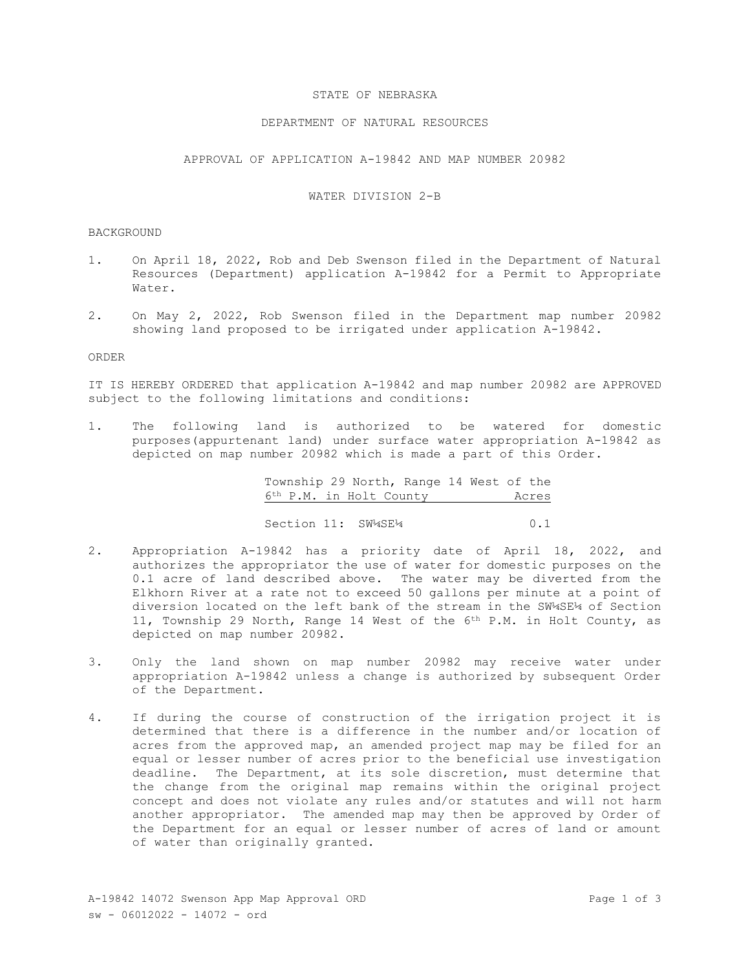### STATE OF NEBRASKA

## DEPARTMENT OF NATURAL RESOURCES

APPROVAL OF APPLICATION A-19842 AND MAP NUMBER 20982

# WATER DIVISION 2-B

#### BACKGROUND

- 1. On April 18, 2022, Rob and Deb Swenson filed in the Department of Natural Resources (Department) application A-19842 for a Permit to Appropriate Water.
- 2. On May 2, 2022, Rob Swenson filed in the Department map number 20982 showing land proposed to be irrigated under application A-19842.

## ORDER

IT IS HEREBY ORDERED that application A-19842 and map number 20982 are APPROVED subject to the following limitations and conditions:

1. The following land is authorized to be watered for domestic purposes(appurtenant land) under surface water appropriation A-19842 as depicted on map number 20982 which is made a part of this Order.

> Township 29 North, Range 14 West of the 6th P.M. in Holt County Acres Section 11: SW\*4SE<sup>14</sup> 0.1

- 2. Appropriation A-19842 has a priority date of April 18, 2022, and authorizes the appropriator the use of water for domestic purposes on the 0.1 acre of land described above. The water may be diverted from the Elkhorn River at a rate not to exceed 50 gallons per minute at a point of diversion located on the left bank of the stream in the SW¼SE¼ of Section 11, Township 29 North, Range 14 West of the 6th P.M. in Holt County, as depicted on map number 20982.
- 3. Only the land shown on map number 20982 may receive water under appropriation A-19842 unless a change is authorized by subsequent Order of the Department.
- 4. If during the course of construction of the irrigation project it is determined that there is a difference in the number and/or location of acres from the approved map, an amended project map may be filed for an equal or lesser number of acres prior to the beneficial use investigation deadline. The Department, at its sole discretion, must determine that the change from the original map remains within the original project concept and does not violate any rules and/or statutes and will not harm another appropriator. The amended map may then be approved by Order of the Department for an equal or lesser number of acres of land or amount of water than originally granted.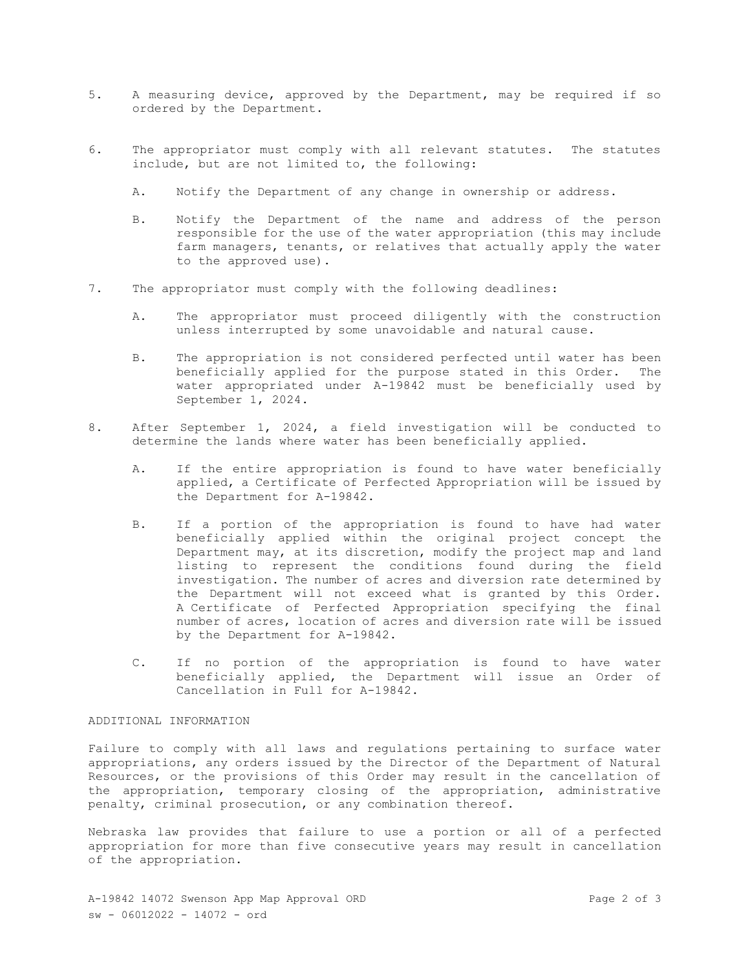- 5. A measuring device, approved by the Department, may be required if so ordered by the Department.
- 6. The appropriator must comply with all relevant statutes. The statutes include, but are not limited to, the following:
	- A. Notify the Department of any change in ownership or address.
	- B. Notify the Department of the name and address of the person responsible for the use of the water appropriation (this may include farm managers, tenants, or relatives that actually apply the water to the approved use).
- 7. The appropriator must comply with the following deadlines:
	- A. The appropriator must proceed diligently with the construction unless interrupted by some unavoidable and natural cause.
	- B. The appropriation is not considered perfected until water has been beneficially applied for the purpose stated in this Order. The water appropriated under A-19842 must be beneficially used by September 1, 2024.
- 8. After September 1, 2024, a field investigation will be conducted to determine the lands where water has been beneficially applied.
	- A. If the entire appropriation is found to have water beneficially applied, a Certificate of Perfected Appropriation will be issued by the Department for A-19842.
	- B. If a portion of the appropriation is found to have had water beneficially applied within the original project concept the Department may, at its discretion, modify the project map and land listing to represent the conditions found during the field investigation. The number of acres and diversion rate determined by the Department will not exceed what is granted by this Order. A Certificate of Perfected Appropriation specifying the final number of acres, location of acres and diversion rate will be issued by the Department for A-19842.
	- C. If no portion of the appropriation is found to have water beneficially applied, the Department will issue an Order of Cancellation in Full for A-19842.

# ADDITIONAL INFORMATION

Failure to comply with all laws and regulations pertaining to surface water appropriations, any orders issued by the Director of the Department of Natural Resources, or the provisions of this Order may result in the cancellation of the appropriation, temporary closing of the appropriation, administrative penalty, criminal prosecution, or any combination thereof.

Nebraska law provides that failure to use a portion or all of a perfected appropriation for more than five consecutive years may result in cancellation of the appropriation.

A-19842 14072 Swenson App Map Approval ORD Page 2 of 3 sw - 06012022 - 14072 - ord